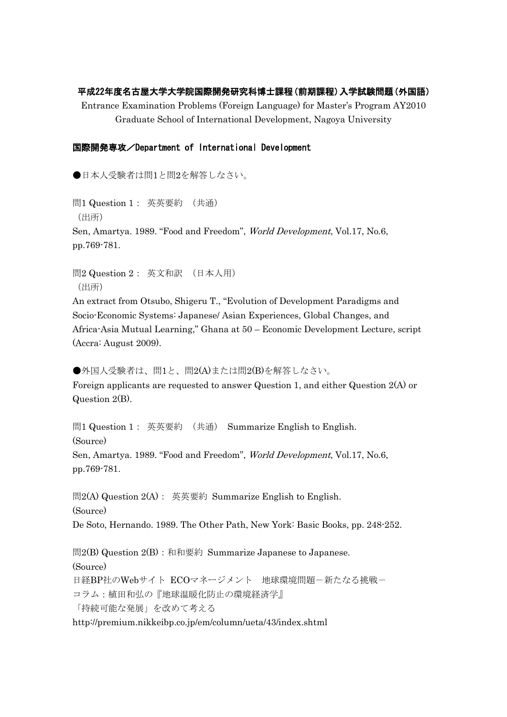## 平成22年度名古屋大学大学院国際開発研究科博士課程(前期課程)入学試験問題(外国語)

Entrance Examination Problems (Foreign Language) for Master's Program AY2010 Graduate School of International Development, Nagoya University

## 国際開発専攻/Department of International Development

●日本人受験者は問1と問2を解答しなさい。

問1 Question 1: 英英要約 (共通) (出所) Sen, Amartya. 1989. "Food and Freedom", World Development, Vol.17, No.6, pp.769-781.

問2 Question 2: 英文和訳 (日本人用) (出所)

An extract from Otsubo, Shigeru T., "Evolution of Development Paradigms and Socio-Economic Systems: Japanese/ Asian Experiences, Global Changes, and Africa-Asia Mutual Learning," Ghana at 50 – Economic Development Lecture, script (Accra: August 2009).

●外国人受験者は、問1と、問2(A)または問2(B)を解答しなさい。 Foreign applicants are requested to answer Question 1, and either Question 2(A) or Question 2(B).

問1 Question 1: 英英要約 (共通) Summarize English to English. (Source) Sen, Amartya. 1989. "Food and Freedom", World Development, Vol.17, No.6, pp.769-781.

問2(A) Question 2(A): 英英要約 Summarize English to English. (Source) De Soto, Hernando. 1989. The Other Path, New York: Basic Books, pp. 248-252.

問2(B) Question 2(B): 和和要約 Summarize Japanese to Japanese. (Source) 日経BP社のWebサイト ECOマネージメント 地球環境問題-新たなる挑戦ー コラム:植田和弘の『地球温暖化防止の環境経済学』 「持続可能な発展」を改めて考える http://premium.nikkeibp.co.jp/em/column/ueta/43/index.shtml